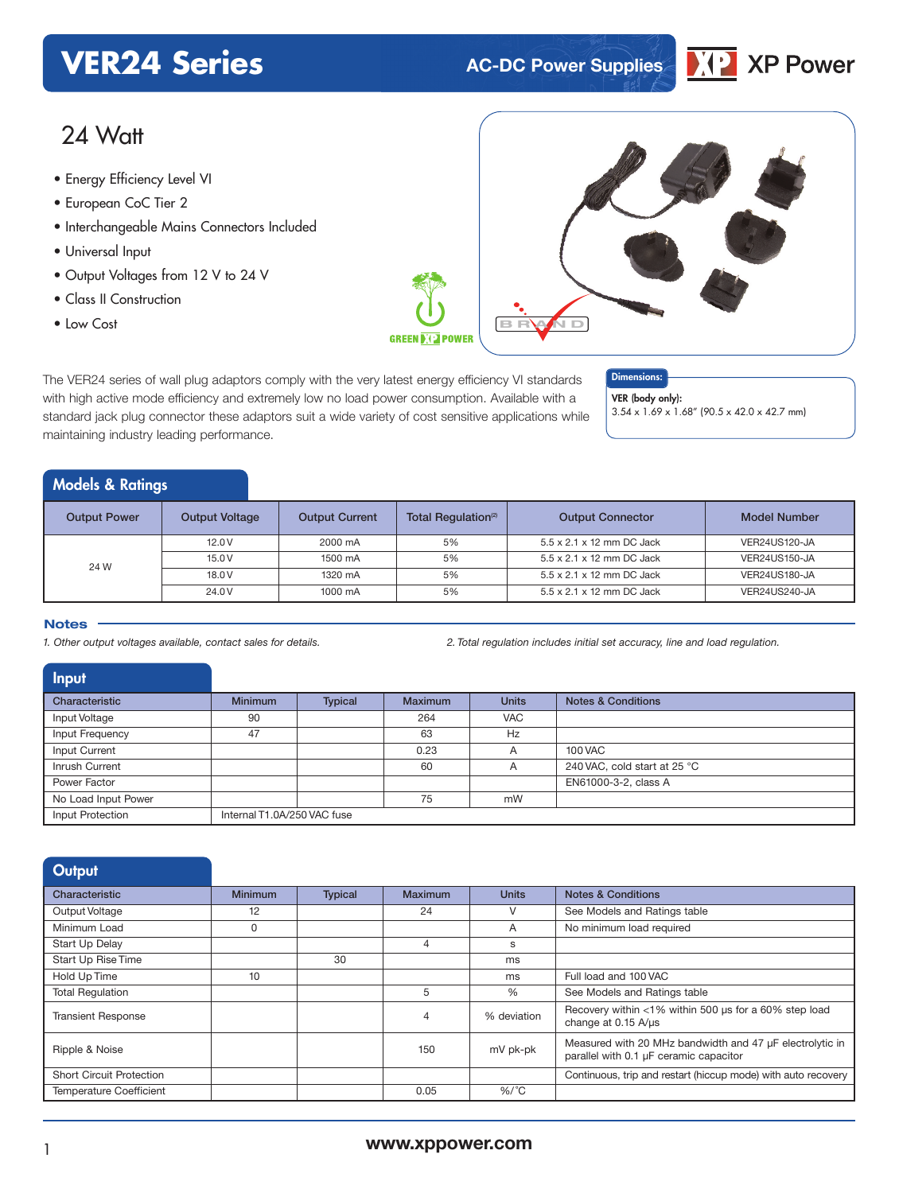# **VER24 Series AC-DC** Power Supplies



# 24 Watt

- **xxx Series** Energy Efficiency Level VI
- European CoC Tier 2
- Interchangeable Mains Connectors Included
- Universal Input
- Output Voltages from 12 V to 24 V

maintaining industry leading performance.

- Class II Construction
- 



The VER24 series of wall plug adaptors comply with the very latest energy efficiency VI standards with high active mode efficiency and extremely low no load power consumption. Available with a standard jack plug connector these adaptors suit a wide variety of cost sensitive applications while



VER (body only): 3.54 x 1.69 x 1.68" (90.5 x 42.0 x 42.7 mm)

## Models & Ratings

| <b>Output Power</b> | <b>Output Voltage</b> | <b>Output Current</b> | Total Regulation <sup>(2)</sup> | <b>Output Connector</b>   | <b>Model Number</b> |
|---------------------|-----------------------|-----------------------|---------------------------------|---------------------------|---------------------|
| 24 W                | 12.0V                 | 2000 mA               | 5%                              | 5.5 x 2.1 x 12 mm DC Jack | VER24US120-JA       |
|                     | 15.0V                 | 1500 mA               | 5%                              | 5.5 x 2.1 x 12 mm DC Jack | VER24US150-JA       |
|                     | 18.0 V                | 1320 mA               | 5%                              | 5.5 x 2.1 x 12 mm DC Jack | VER24US180-JA       |
|                     | 24.0 V                | 1000 mA               | 5%                              | 5.5 x 2.1 x 12 mm DC Jack | VER24US240-JA       |

#### **Notes**

1. Other output voltages available, contact sales for details. <br>2. Total regulation includes initial set accuracy, line and load regulation includes initial set accuracy, line and load regulation.

| <b>Input</b>        |                             |                |                |              |                               |
|---------------------|-----------------------------|----------------|----------------|--------------|-------------------------------|
| Characteristic      | <b>Minimum</b>              | <b>Typical</b> | <b>Maximum</b> | <b>Units</b> | <b>Notes &amp; Conditions</b> |
| Input Voltage       | 90                          |                | 264            | <b>VAC</b>   |                               |
| Input Frequency     | 47                          |                | 63             | Hz           |                               |
| Input Current       |                             |                | 0.23           | A            | <b>100 VAC</b>                |
| Inrush Current      |                             |                | 60             | A            | 240 VAC, cold start at 25 °C  |
| Power Factor        |                             |                |                |              | EN61000-3-2, class A          |
| No Load Input Power |                             |                | 75             | mW           |                               |
| Input Protection    | Internal T1.0A/250 VAC fuse |                |                |              |                               |

| Output                          |                |                |                |              |                                                                                                    |
|---------------------------------|----------------|----------------|----------------|--------------|----------------------------------------------------------------------------------------------------|
| Characteristic                  | <b>Minimum</b> | <b>Typical</b> | <b>Maximum</b> | <b>Units</b> | <b>Notes &amp; Conditions</b>                                                                      |
| Output Voltage                  | 12             |                | 24             | V            | See Models and Ratings table                                                                       |
| Minimum Load                    | 0              |                |                | A            | No minimum load required                                                                           |
| Start Up Delay                  |                |                | 4              | s            |                                                                                                    |
| Start Up Rise Time              |                | 30             |                | ms           |                                                                                                    |
| Hold Up Time                    | 10             |                |                | ms           | Full load and 100 VAC                                                                              |
| <b>Total Requlation</b>         |                |                | 5              | %            | See Models and Ratings table                                                                       |
| <b>Transient Response</b>       |                |                | 4              | % deviation  | Recovery within <1% within 500 us for a 60% step load<br>change at 0.15 A/us                       |
| Ripple & Noise                  |                |                | 150            | mV pk-pk     | Measured with 20 MHz bandwidth and 47 µF electrolytic in<br>parallel with 0.1 µF ceramic capacitor |
| <b>Short Circuit Protection</b> |                |                |                |              | Continuous, trip and restart (hiccup mode) with auto recovery                                      |
| <b>Temperature Coefficient</b>  |                |                | 0.05           | $%$ /°C      |                                                                                                    |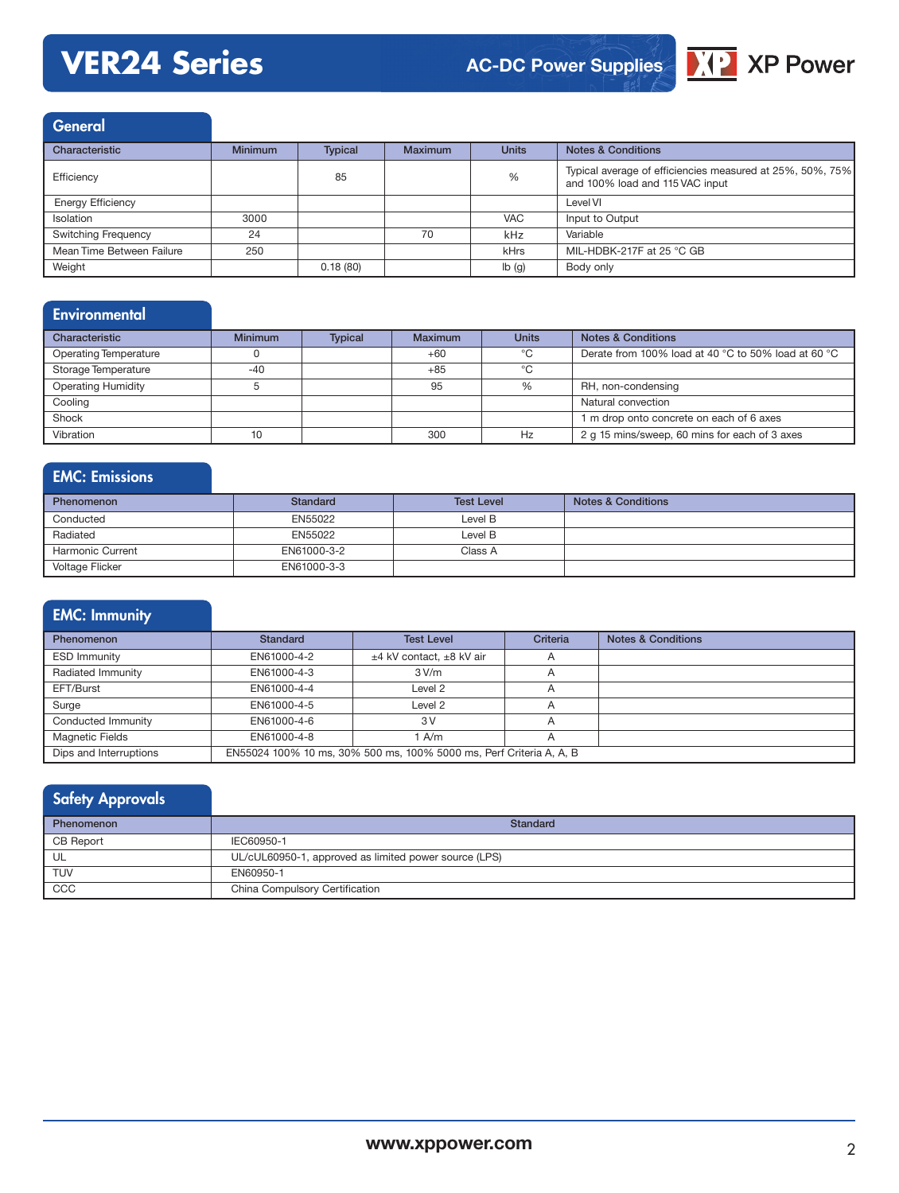# **VER24 Series**



General

| Characteristic             | <b>Minimum</b> | <b>Typical</b> | <b>Maximum</b> | <b>Units</b> | <b>Notes &amp; Conditions</b>                                                                |
|----------------------------|----------------|----------------|----------------|--------------|----------------------------------------------------------------------------------------------|
| Efficiency                 |                | 85             |                | %            | Typical average of efficiencies measured at 25%, 50%, 75%<br>and 100% load and 115 VAC input |
| <b>Energy Efficiency</b>   |                |                |                |              | Level VI                                                                                     |
| <b>Isolation</b>           | 3000           |                |                | <b>VAC</b>   | Input to Output                                                                              |
| <b>Switching Frequency</b> | 24             |                | 70             | kHz          | Variable                                                                                     |
| Mean Time Between Failure  | 250            |                |                | kHrs         | MIL-HDBK-217F at 25 °C GB                                                                    |
| Weight                     |                | 0.18(80)       |                | lb(q)        | Body only                                                                                    |

# **Environmental**

| Characteristic               | <b>Minimum</b> | <b>Typical</b> | Maximum | <b>Units</b> | <b>Notes &amp; Conditions</b>                       |
|------------------------------|----------------|----------------|---------|--------------|-----------------------------------------------------|
| <b>Operating Temperature</b> |                |                | $+60$   | °C           | Derate from 100% load at 40 °C to 50% load at 60 °C |
| Storage Temperature          | $-40$          |                | $+85$   | °C           |                                                     |
| <b>Operating Humidity</b>    |                |                | 95      | %            | RH, non-condensing                                  |
| Cooling                      |                |                |         |              | Natural convection                                  |
| Shock                        |                |                |         |              | I m drop onto concrete on each of 6 axes            |
| Vibration                    | 10             |                | 300     | Hz           | 2 g 15 mins/sweep, 60 mins for each of 3 axes       |

# EMC: Emissions

| <b>Phenomenon</b> | Standard    | <b>Test Level</b> | <b>Notes &amp; Conditions</b> |
|-------------------|-------------|-------------------|-------------------------------|
| Conducted         | EN55022     | Level B           |                               |
| Radiated          | EN55022     | Level B           |                               |
| Harmonic Current  | EN61000-3-2 | Class A           |                               |
| Voltage Flicker   | EN61000-3-3 |                   |                               |

# EMC: Immunity

| <b>Phenomenon</b>      | Standard                                                            | <b>Test Level</b>        | Criteria       | <b>Notes &amp; Conditions</b> |  |  |
|------------------------|---------------------------------------------------------------------|--------------------------|----------------|-------------------------------|--|--|
| <b>ESD Immunity</b>    | EN61000-4-2                                                         | ±4 kV contact, ±8 kV air | $\overline{A}$ |                               |  |  |
| Radiated Immunity      | EN61000-4-3                                                         | 3 V/m                    | $\overline{A}$ |                               |  |  |
| EFT/Burst              | EN61000-4-4                                                         | Level 2                  | $\overline{A}$ |                               |  |  |
| Surge                  | EN61000-4-5                                                         | Level 2                  |                |                               |  |  |
| Conducted Immunity     | EN61000-4-6                                                         | 3V                       | $\overline{A}$ |                               |  |  |
| <b>Magnetic Fields</b> | EN61000-4-8                                                         | 1 A/m                    | A              |                               |  |  |
| Dips and Interruptions | EN55024 100% 10 ms, 30% 500 ms, 100% 5000 ms, Perf Criteria A, A, B |                          |                |                               |  |  |

## Safety Approvals Phenomenon Standard CB Report IEC60950-1<br>UL UL/CUL60950-1 UL/cUL60950-1, approved as limited power source (LPS) TUV EN60950-1 CCC CCC China Compulsory Certification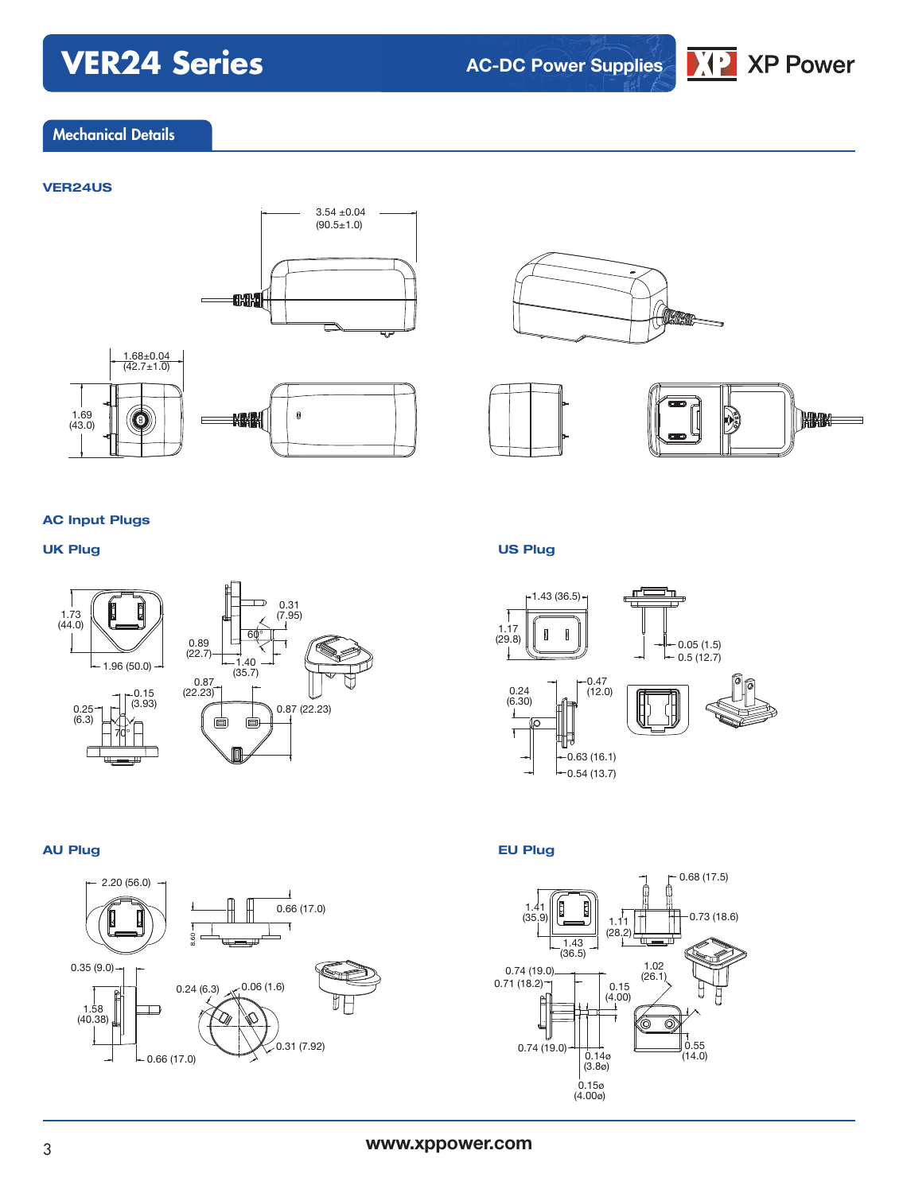# **VER24 Series**

**AC-DC Power Supplies**



# Mechanical Details

### **VER24US**













#### **AC Input Plugs**



### **AU Plug EU Plug**



## **UK Plug US Plug**